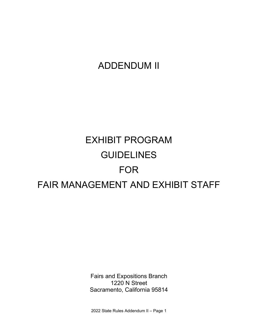# ADDENDUM II

# EXHIBIT PROGRAM GUIDELINES FOR FAIR MANAGEMENT AND EXHIBIT STAFF

 Fairs and Expositions Branch 1220 N Street Sacramento, California 95814

2022 State Rules Addendum II – Page 1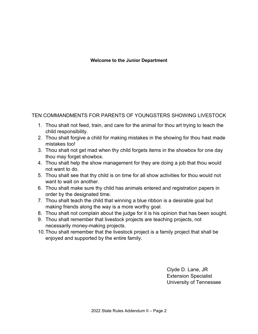#### **Welcome to the Junior Department**

TEN COMMANDMENTS FOR PARENTS OF YOUNGSTERS SHOWING LIVESTOCK

- 1. Thou shalt not feed, train, and care for the animal for thou art trying to teach the child responsibility.
- 2. Thou shalt forgive a child for making mistakes in the showing for thou hast made mistakes too!
- 3. Thou shalt not get mad when thy child forgets items in the showbox for one day thou may forget showbox.
- not want to do. 4. Thou shalt help the show management for they are doing a job that thou would
- 5. Thou shalt see that thy child is on time for all show activities for thou would not want to wait on another.
- order by the designated time. 6. Thou shalt make sure thy child has animals entered and registration papers in
- 7. Thou shalt teach the child that winning a blue ribbon is a desirable goal but making friends along the way is a more worthy goal.
- 8. Thou shalt not complain about the judge for it is his opinion that has been sought.
- 9. Thou shalt remember that livestock projects are teaching projects, not necessarily money-making projects.
- 10.Thou shalt remember that the livestock project is a family project that shall be enjoyed and supported by the entire family.

Clyde D. Lane, JR Extension Specialist University of Tennessee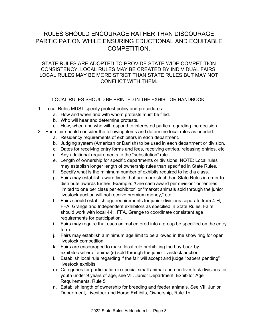# RULES SHOULD ENCOURAGE RATHER THAN DISCOURAGE PARTICIPATION WHILE ENSURING EDUCTIONAL AND EQUITABLE COMPETITION.

#### STATE RULES ARE ADOPTED TO PROVIDE STATE-WIDE COMPETITION CONSISTENCY. LOCAL RULES MAY BE CREATED BY INDIVIDUAL FAIRS. LOCAL RULES MAY BE MORE STRICT THAN STATE RULES BUT MAY NOT CONFLICT WITH THEM.

LOCAL RULES SHOULD BE PRINTED IN THE EXHIBITOR HANDBOOK.

- 1. Local Rules MUST specify protest policy and procedures.
	- a. How and when and with whom protests must be filed.
	- b. Who will hear and determine protests.
	- c. How, when and who will respond to interested parties regarding the decision.
- 2. Each fair should consider the following items and determine local rules as needed:
	- a. Residency requirements of exhibitors in each department.
	- b. Judging system (American or Danish) to be used in each department or division.
	- c. Dates for receiving entry forms and fees, receiving entries, releasing entries, etc.
	- d. Any additional requirements to the "substitution" rule.
	- e. Length of ownership for specific departments or divisions. NOTE: Local rules may establish longer length of ownership rules than specified in State Rules.
	- f. Specify what is the minimum number of exhibits required to hold a class.
	- g. Fairs may establish award limits that are more strict than State Rules in order to distribute awards further. Example: "One cash award per division" or "entries limited to one per class per exhibitor" or "market animals sold through the junior livestock auction will not receive premium money," etc.
	- h. Fairs should establish age requirements for junior divisions separate from 4-H, FFA, Grange and Independent exhibitors as specified in State Rules. Fairs should work with local 4-H, FFA, Grange to coordinate consistent age requirements for participation.
	- i. Fairs may require that each animal entered into a group be specified on the entry form.
	- j. Fairs may establish a minimum age limit to be allowed in the show ring for open livestock competition.
	- k. Fairs are encouraged to make local rule prohibiting the buy-back by exhibitor/seller of animal(s) sold through the junior livestock auction.
	- l. Establish local rule regarding if the fair will accept and judge "papers pending" livestock exhibits.
	- m. Categories for participation in special small animal and non-livestock divisions for youth under 9 years of age, see VII. Junior Department, Exhibitor Age Requirements, Rule 5.
	- n. Establish length of ownership for breeding and feeder animals. See VII. Junior Department, Livestock and Horse Exhibits, Ownership, Rule 1b.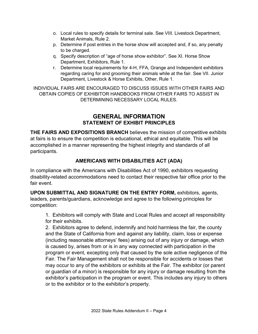- o. Local rules to specify details for terminal sale. See VIII. Livestock Department, Market Animals, Rule 2.
- p. Determine if post entries in the horse show will accepted and, if so, any penalty to be charged.
- q. Specify description of "age of horse show exhibitor". See XI. Horse Show Department, Exhibitors, Rule 1.
- regarding caring for and grooming their animals while at the fair. See VII. Junior Department, Livestock & Horse Exhibits, Other, Rule 1. r. Determine local requirements for 4-H, FFA, Grange and Independent exhibitors

INDIVIDUAL FAIRS ARE ENCOURAGED TO DISCUSS ISSUES WITH OTHER FAIRS AND OBTAIN COPIES OF EXHIBITOR HANDBOOKS FROM OTHER FAIRS TO ASSIST IN DETERMINING NECESSARY LOCAL RULES.

#### **GENERAL INFORMATION STATEMENT OF EXHIBIT PRINCIPLES**

 **THE FAIRS AND EXPOSITIONS BRANCH** believes the mission of competitive exhibits at fairs is to ensure the competition is educational, ethical and equitable. This will be accomplished in a manner representing the highest integrity and standards of all participants.

#### **AMERICANS WITH DISABILITIES ACT (ADA)**

 fair event. In compliance with the Americans with Disabilities Act of 1990, exhibitors requesting disability-related accommodations need to contact their respective fair office prior to the

 leaders, parents/guardians, acknowledge and agree to the following principles for **UPON SUBMITTAL AND SIGNATURE ON THE ENTRY FORM,** exhibitors, agents, competition:

1. Exhibitors will comply with State and Local Rules and accept all responsibility for their exhibits.

 2. Exhibitors agree to defend, indemnify and hold harmless the fair, the county (including reasonable attorneys' fees) arising out of any injury or damage, which program or event, excepting only that caused by the sole active negligence of the and the State of California from and against any liability, claim, loss or expense is caused by, arises from or is in any way connected with participation in the Fair. The Fair Management shall not be responsible for accidents or losses that may occur to any of the exhibitors or exhibits at the Fair. The exhibitor (or parent or guardian of a minor) is responsible for any injury or damage resulting from the exhibitor's participation in the program or event. This includes any injury to others or to the exhibitor or to the exhibitor's property.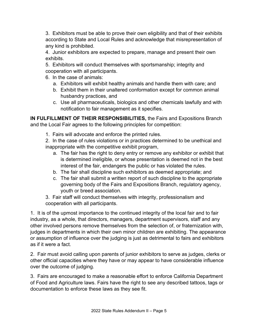3. Exhibitors must be able to prove their own eligibility and that of their exhibits according to State and Local Rules and acknowledge that misrepresentation of any kind is prohibited.

4. Junior exhibitors are expected to prepare, manage and present their own exhibits.

5. Exhibitors will conduct themselves with sportsmanship; integrity and cooperation with all participants.

- 6. In the case of animals:
	- a. Exhibitors will exhibit healthy animals and handle them with care; and
	- b. Exhibit them in their unaltered conformation except for common animal husbandry practices, and
	- c. Use all pharmaceuticals, biologics and other chemicals lawfully and with notification to fair management as it specifies.

**IN FULFILLMENT OF THEIR RESPONSIBILITIES,** the Fairs and Expositions Branch and the Local Fair agrees to the following principles for competition:

1. Fairs will advocate and enforce the printed rules.

 2. In the case of rules violations or in practices determined to be unethical and inappropriate with the competitive exhibit program,

- a. The fair has the right to deny entry or remove any exhibitor or exhibit that is determined ineligible, or whose presentation is deemed not in the best interest of the fair, endangers the public or has violated the rules.
- b. The fair shall discipline such exhibitors as deemed appropriate; and
- governing body of the Fairs and Expositions Branch, regulatory agency, c. The fair shall submit a written report of such discipline to the appropriate youth or breed association.

3. Fair staff will conduct themselves with integrity, professionalism and cooperation with all participants.

 other involved persons remove themselves from the selection of, or fraternization with, 1. It is of the upmost importance to the continued integrity of the local fair and to fair industry, as a whole, that directors, managers, department supervisors, staff and any judges in departments in which their own minor children are exhibiting. The appearance or assumption of influence over the judging is just as detrimental to fairs and exhibitors as if it were a fact.

 other official capacities where they have or may appear to have considerable influence 2. Fair must avoid calling upon parents of junior exhibitors to serve as judges, clerks or over the outcome of judging.

 documentation to enforce these laws as they see fit. 3. Fairs are encouraged to make a reasonable effort to enforce California Department of Food and Agriculture laws. Fairs have the right to see any described tattoos, tags or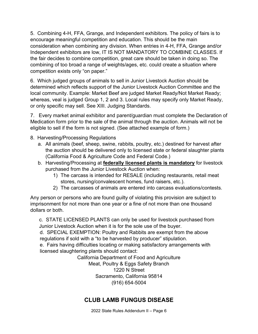consideration when combining any division. When entries in 4-H, FFA, Grange and/or 5. Combining 4-H, FFA, Grange, and Independent exhibitors. The policy of fairs is to encourage meaningful competition and education. This should be the main Independent exhibitors are low, IT IS NOT MANDATORY TO COMBINE CLASSES. If the fair decides to combine competition, great care should be taken in doing so. The combining of too broad a range of weights/ages, etc. could create a situation where competition exists only "on paper."

 6. Which judged groups of animals to sell in Junior Livestock Auction should be whereas, veal is judged Group 1, 2 and 3. Local rules may specify only Market Ready, determined which reflects support of the Junior Livestock Auction Committee and the local community. Example: Market Beef are judged Market Ready/Not Market Ready; or only specific may sell. See XIII. Judging Standards.

 Medication form prior to the sale of the animal through the auction. Animals will not be 7. Every market animal exhibitor and parent/guardian must complete the Declaration of eligible to sell if the form is not signed. (See attached example of form.)

- 8. Harvesting/Processing Regulations
	- the auction should be delivered only to licensed state or federal slaughter plants a. All animals (beef, sheep, swine, rabbits, poultry, etc.) destined for harvest after (California Food & Agriculture Code and Federal Code.)
	- b. Harvesting/Processing at **federally licensed plants is mandatory** for livestock purchased from the Junior Livestock Auction when:
		- 1) The carcass is intended for RESALE (including restaurants, retail meat stores, nursing/convalescent homes, fund raisers, etc.).
		- 2) The carcasses of animals are entered into carcass evaluations/contests.

Any person or persons who are found guilty of violating this provision are subject to imprisonment for not more than one year or a fine of not more than one thousand dollars or both.

c. STATE LICENSED PLANTS can only be used for livestock purchased from Junior Livestock Auction when it is for the sole use of the buyer.

d. SPECIAL EXEMPTION: Poultry and Rabbits are exempt from the above regulations if sold with a "to be harvested by producer" stipulation.

e. Fairs having difficulties locating or making satisfactory arrangements with licensed slaughtering plants should contact:

California Department of Food and Agriculture

Meat, Poultry & Eggs Safety Branch 1220 N Street Sacramento, California 95814 (916) 654-5004

# **CLUB LAMB FUNGUS DISEASE**

2022 State Rules Addendum II – Page 6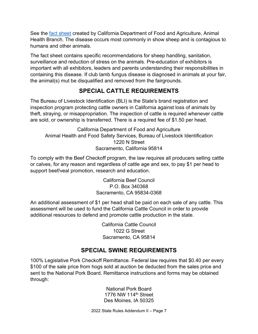See the <u>fact sheet</u> created by California Department of Food and Agriculture, Animal Health Branch. The disease occurs most commonly in show sheep and is contagious to humans and other animals.

 containing this disease. If club lamb fungus disease is diagnosed in animals at your fair, The fact sheet contains specific recommendations for sheep handling, sanitation, surveillance and reduction of stress on the animals. Pre-education of exhibitors is important with all exhibitors, leaders and parents understanding their responsibilities in the animal(s) mut be disqualified and removed from the fairgrounds.

# **SPECIAL CATTLE REQUIREMENTS**

The Bureau of Livestock Identification (BLI) is the State's brand registration and inspection program protecting cattle owners in California against loss of animals by theft, straying, or misappropriation. The inspection of cattle is required whenever cattle are sold, or ownership is transferred. There is a required fee of \$1.50 per head.

 Animal Health and Food Safety Services, Bureau of Livestock Identification California Department of Food and Agriculture 1220 N Street Sacramento, California 95814

 To comply with the Beef Checkoff program, the law requires all producers selling cattle support beef/veal promotion, research and education. California Beef Council or calves, for any reason and regardless of cattle age and sex, to pay \$1 per head to

P.O. Box 340368 Sacramento, CA 95834-0368

An additional assessment of \$1 per head shall be paid on each sale of any cattle. This assessment will be used to fund the California Cattle Council in order to provide additional resources to defend and promote cattle production in the state.

> California Cattle Council 1022 G Street Sacramento, CA 95814

# **SPECIAL SWINE REQUIREMENTS**

 sent to the National Pork Board. Remittance instructions and forms may be obtained 100% Legislative Pork Checkoff Remittance. Federal law requires that \$0.40 per every \$100 of the sale price from hogs sold at auction be deducted from the sales price and through:

> 1776 NW 114<sup>th</sup> Street Des Moines, IA 50325 National Pork Board

2022 State Rules Addendum II – Page 7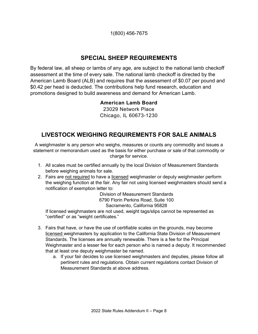1(800) 456-7675

# **SPECIAL SHEEP REQUIREMENTS**

 assessment at the time of every sale. The national lamb checkoff is directed by the By federal law, all sheep or lambs of any age, are subject to the national lamb checkoff American Lamb Board (ALB) and requires that the assessment of \$0.07 per pound and \$0.42 per head is deducted. The contributions help fund research, education and promotions designed to build awareness and demand for American Lamb.

#### **American Lamb Board**

23029 Network Place Chicago, IL 60673-1230

# **LIVESTOCK WEIGHING REQUIREMENTS FOR SALE ANIMALS**

 statement or memorandum used as the basis for either purchase or sale of that commodity or A weighmaster is any person who weighs, measures or counts any commodity and issues a charge for service.

- 1. All scales must be certified annually by the local Division of Measurement Standards before weighing animals for sale.
- 2. Fairs are not required to have a licensed weighmaster or deputy weighmaster perform the weighing function at the fair. Any fair not using licensed weighmasters should send a notification of exemption letter to:

Division of Measurement Standards 6790 Florin Perkins Road, Suite 100 Sacramento, California 95828

If licensed weighmasters are not used, weight tags/slips cannot be represented as "certified" or as "weight certificates."

- 3. Fairs that have, or have the use of certifiable scales on the grounds, may become Standards. The licenses are annually renewable. There is a fee for the Principal Weighmaster and a lesser fee for each person who is named a deputy. It recommended licensed weighmasters by application to the California State Division of Measurement that at least one deputy weighmaster be named.
	- a. If your fair decides to use licensed weighmasters and deputies, please follow all pertinent rules and regulations. Obtain current regulations contact Division of Measurement Standards at above address.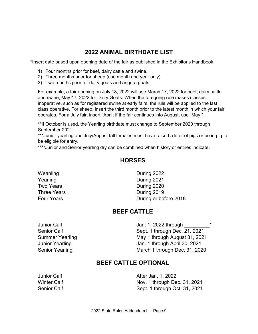#### **2022 ANIMAL BIRTHDATE LIST**

\*Insert date based upon opening date of the fair as published in the Exhibitor's Handbook.

- 1) Four months prior for beef, dairy cattle and swine.
- 2) Three months prior for sheep (use month and year only)
- 3) Two months prior for dairy goats and angora goats.

 and swine; May 17, 2022 for Dairy Goats. When the foregoing rule makes classes inoperative, such as for registered swine at early fairs, the rule will be applied to the last class operative. For sheep, insert the third month prior to the latest month in which your fair operates. For a July fair, insert "April; if the fair continues into August, use "May." For example, a fair opening on July 18, 2022 will use March 17, 2022 for beef, dairy cattle

\*\*If October is used, the Yearling birthdate must change to September 2020 through September 2021.

 \*\*\*Junior yearling and July/August fall females must have raised a litter of pigs or be in pig to be eligible for entry.

\*\*\*\*Junior and Senior yearling dry can be combined when history or entries indicate.

#### **HORSES**

Weanling **During 2022** 

Yearling During 2021 Two Years **During 2020** Three Years **During 2019** Four Years **During or before 2018** 

#### **BEEF CATTLE**

Junior Calf **Jan. 1, 2022 through** Senior Calf Sept. 1 through Dec. 21, 2021 Summer Yearling May 1 through August 31, 2021 Junior Yearling Jan. 1 through April 30, 2021 Senior Yearling March 1 through Dec. 31, 2020

#### **BEEF CATTLE OPTIONAL**

Junior Calf **After Jan. 1, 2022** Winter Calf Nov. 1 through Dec. 31, 2021 Senior Calf Sept. 1 through Oct. 31, 2021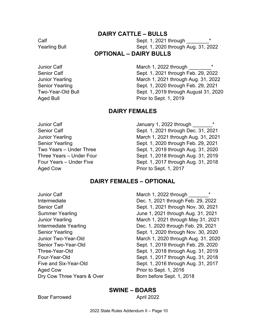#### **DAIRY CATTLE – BULLS**

Calf Sept. 1, 2021 through \_\_\_\_\_\_\_\_\* Yearling Bull Sept. 1, 2020 through Aug. 31, 2022

#### **OPTIONAL – DAIRY BULLS**

Junior Calf **Junior Yearling** Two-Year-Old Bull

March 1, 2022 through Senior Calf Sept. 1, 2021 through Feb. 29, 2022 March 1, 2021 through Aug. 31, 2022 Senior Yearling Sept. 1, 2020 through Feb. 29, 2021 Sept. 1, 2019 through August 31, 2020 Aged Bull **Prior** to Sept. 1, 2019

#### **DAIRY FEMALES**

Two Years - Under Three Three Years - Under Four Four Years - Under Five Aged Cow Prior to Sept. 1, 2017

Junior Calf January 1, 2022 through \_\_\_\_\_\_\_\* Senior Calf Sept. 1, 2021 through Dec. 31, 2021 Junior Yearling March 1, 2021 through Aug. 31, 2021 Senior Yearling Sept. 1, 2020 through Feb. 29, 2021 Sept. 1, 2019 through Aug. 31, 2020 Sept. 1, 2018 through Aug. 31, 2019 Sept. 1, 2017 through Aug. 31, 2018

#### **DAIRY FEMALES – OPTIONAL**

Junior Calf Intermediate Yearling Junior Two-Year-Old Senior Two-Year-Old Three-Year-Old Four-Year-Old Five and Six-Year-Old Aged Cow Prior to Sept. 1, 2016

Dry Cow Three Years & Over Born before Sept. 1, 2018 March 1, 2022 through Intermediate Dec. 1, 2021 through Feb. 29, 2022 Senior Calf Sept. 1, 2021 through Nov. 30, 2021 Summer Yearling Summer Yearling Summer Yearling June 1, 2021 through Aug. 31, 2021 Junior Yearling March 1, 2021 through May 31, 2021 Dec. 1, 2020 through Feb. 29, 2021 Senior Yearling Sept. 1, 2020 through Nov. 30, 2020 March 1, 2020 through Aug. 31, 2020 Sept. 1, 2019 through Feb. 29, 2020 Sept. 1, 2018 through Aug. 31, 2019 Sept. 1, 2017 through Aug. 31, 2018 Sept. 1, 2016 through Aug. 31, 2017

#### **SWINE – BOARS**

Boar Farrowed **April 2022**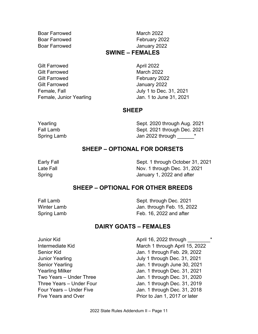Boar Farrowed March 2022 Boar Farrowed January 2022

Boar Farrowed **February 2022** 

#### **SWINE – FEMALES**

Gilt Farrowed **April 2022** Gilt Farrowed **March 2022** Gilt Farrowed **February 2022** Gilt Farrowed **Gilt Farrowed January 2022** 

Female, Fall **Full** July 1 to Dec. 31, 2021 Female, Junior Yearling The State State Jan. 1 to June 31, 2021

#### **SHEEP**

Yearling The Sept. 2020 through Aug. 2021 Fall Lamb Sept. 2021 through Dec. 2021 Spring Lamb  $\qquad \qquad$  Jan 2022 through  $\qquad \qquad ^*$ 

# **SHEEP – OPTIONAL FOR DORSETS**

Early Fall **Early Fall** Sept. 1 through October 31, 2021 Late Fall **Nov. 1 through Dec. 31, 2021** Spring **Spring 1, 2022** and after

#### **SHEEP – OPTIONAL FOR OTHER BREEDS**

**Winter Lamb** 

Fall Lamb Sept. through Dec. 2021 Jan. through Feb. 15, 2022 Spring Lamb Feb. 16, 2022 and after

#### **DAIRY GOATS – FEMALES**

| Junior Kid                 | April 16, 2022 through         |  |
|----------------------------|--------------------------------|--|
| Intermediate Kid           | March 1 through April 15, 2022 |  |
| Senior Kid                 | Jan. 1 through Feb. 29, 2022   |  |
| Junior Yearling            | July 1 through Dec. 31, 2021   |  |
| <b>Senior Yearling</b>     | Jan. 1 through June 30, 2021   |  |
| <b>Yearling Milker</b>     | Jan. 1 through Dec. 31, 2021   |  |
| Two Years - Under Three    | Jan. 1 through Dec. 31, 2020   |  |
| Three Years - Under Four   | Jan. 1 through Dec. 31, 2019   |  |
| Four Years - Under Five    | Jan. 1 through Dec. 31, 2018   |  |
| <b>Five Years and Over</b> | Prior to Jan 1, 2017 or later  |  |
|                            |                                |  |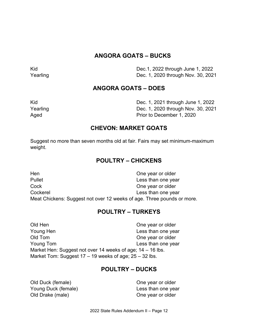# **ANGORA GOATS – BUCKS**

Kid Dec.1, 2022 through June 1, 2022 Yearling Dec. 1, 2020 through Nov. 30, 2021

# **ANGORA GOATS – DOES**

| Kid      | Dec. 1, 2021 through June 1, 2022  |
|----------|------------------------------------|
| Yearling | Dec. 1, 2020 through Nov. 30, 2021 |
| Aged     | Prior to December 1, 2020          |

#### **CHEVON: MARKET GOATS**

Suggest no more than seven months old at fair. Fairs may set minimum-maximum weight.

# **POULTRY – CHICKENS**

| Hen      | One year or older                                                      |
|----------|------------------------------------------------------------------------|
| Pullet   | Less than one year                                                     |
| Cock     | One year or older                                                      |
| Cockerel | Less than one year                                                     |
|          | Meat Chickens: Suggest not over 12 weeks of age. Three pounds or more. |

#### **POULTRY – TURKEYS**

Young Hen Young Tom Market Hen: Suggest not over 14 weeks of age; 14 – 16 lbs. Market Tom: Suggest 17 – 19 weeks of age; 25 – 32 lbs. Old Hen **One year or older** Less than one year Old Tom **One year or older** Less than one year

#### **POULTRY – DUCKS**

 Young Duck (female) Less than one year Old Drake (male)  $\qquad \qquad \qquad \qquad$  One year or older Old Duck (female) **Old Duck (female**) **One year or older**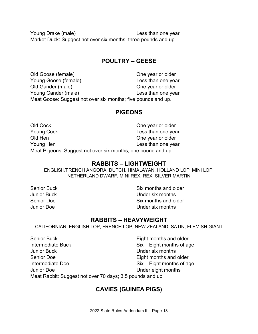Young Drake (male) Less than one year Market Duck: Suggest not over six months; three pounds and up

# **POULTRY – GEESE**

 Young Goose (female) Less than one year Young Gander (male) Less than one year Meat Goose: Suggest not over six months; five pounds and up. Old Goose (female) Cone year or older Old Gander (male) Cone year or older

#### **PIGEONS**

| Old Cock                                                     | One year or older  |  |
|--------------------------------------------------------------|--------------------|--|
| <b>Young Cock</b>                                            | Less than one year |  |
| Old Hen                                                      | One year or older  |  |
| Young Hen                                                    | Less than one year |  |
| Meat Pigeons: Suggest not over six months; one pound and up. |                    |  |

#### **RABBITS – LIGHTWEIGHT**

 ENGLISH/FRENCH ANGORA, DUTCH, HIMALAYAN, HOLLAND LOP, MINI LOP, NETHERLAND DWARF, MINI REX, REX, SILVER MARTIN

Senior Buck Senior Buck Six months and older Junior Buck Under six months Senior Doe Six months and older **Junior Doe** Under six months

#### **RABBITS – HEAVYWEIGHT**

CALIFORNIAN, ENGLISH LOP, FRENCH LOP, NEW ZEALAND, SATIN, FLEMISH GIANT

**Junior Buck** Senior Doe Meat Rabbit: Suggest not over 70 days; 3.5 pounds and up Senior Buck **Eight months and older** Intermediate Buck Six – Eight months of age Under six months Eight months and older Intermediate Doe Six – Eight months of age **Junior Doe** Under eight months

# **CAVIES (GUINEA PIGS)**